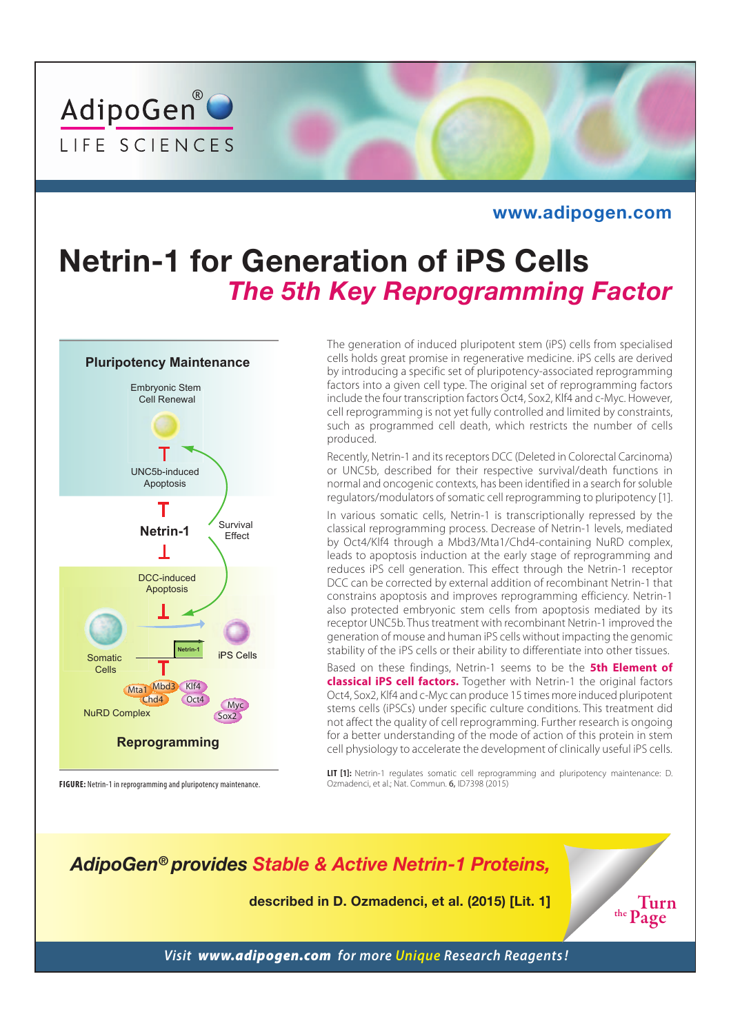

#### **www.adipogen.com**

## **Netrin-1 for Generation of iPS Cells**  *The 5th Key Reprogramming Factor*



**FIGURE:** Netrin-1 in reprogramming and pluripotency maintenance.

The generation of induced pluripotent stem (iPS) cells from specialised cells holds great promise in regenerative medicine. iPS cells are derived by introducing a specific set of pluripotency-associated reprogramming factors into a given cell type. The original set of reprogramming factors include the four transcription factors Oct4, Sox2, Klf4 and c-Myc. However, cell reprogramming is not yet fully controlled and limited by constraints, such as programmed cell death, which restricts the number of cells produced.

Recently, Netrin-1 and its receptors DCC (Deleted in Colorectal Carcinoma) or UNC5b, described for their respective survival/death functions in normal and oncogenic contexts, has been identified in a search for soluble regulators/modulators of somatic cell reprogramming to pluripotency [1].

In various somatic cells, Netrin-1 is transcriptionally repressed by the classical reprogramming process. Decrease of Netrin-1 levels, mediated by Oct4/Klf4 through a Mbd3/Mta1/Chd4-containing NuRD complex, leads to apoptosis induction at the early stage of reprogramming and reduces iPS cell generation. This effect through the Netrin-1 receptor DCC can be corrected by external addition of recombinant Netrin-1 that constrains apoptosis and improves reprogramming efficiency. Netrin-1 also protected embryonic stem cells from apoptosis mediated by its receptor UNC5b. Thus treatment with recombinant Netrin-1 improved the generation of mouse and human iPS cells without impacting the genomic stability of the iPS cells or their ability to differentiate into other tissues.

Based on these findings, Netrin-1 seems to be the **5th Element of classical iPS cell factors.** Together with Netrin-1 the original factors Oct4, Sox2, Klf4 and c-Myc can produce 15 times more induced pluripotent stems cells (iPSCs) under specific culture conditions. This treatment did not affect the quality of cell reprogramming. Further research is ongoing for a better understanding of the mode of action of this protein in stem cell physiology to accelerate the development of clinically useful iPS cells.

**LIT [1]:** Netrin-1 regulates somatic cell reprogramming and pluripotency maintenance: D. Ozmadenci, et al.; Nat. Commun. 6, ID7398 (2015)